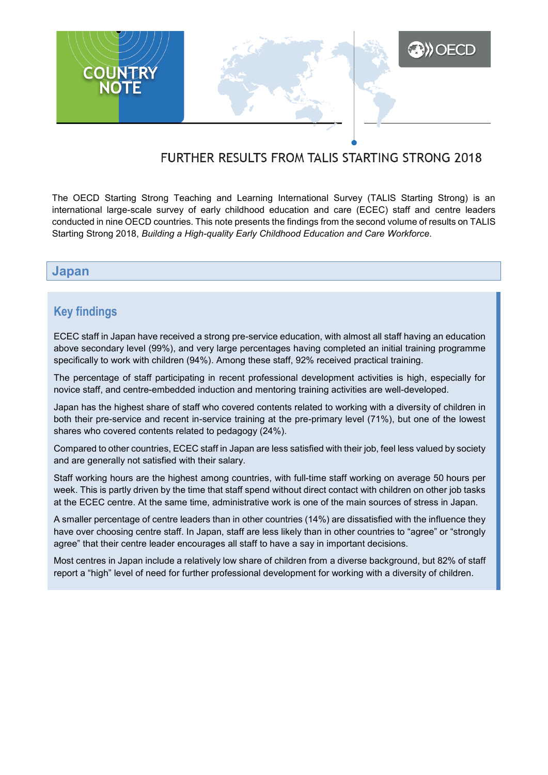

# FURTHER RESULTS FROM TALIS STARTING STRONG 2018

The OECD Starting Strong Teaching and Learning International Survey (TALIS Starting Strong) is an international large-scale survey of early childhood education and care (ECEC) staff and centre leaders conducted in nine OECD countries. This note presents the findings from the second volume of results on TALIS Starting Strong 2018, *Building a High-quality Early Childhood Education and Care Workforce*.

### **Japan**

## **Key findings**

ECEC staff in Japan have received a strong pre-service education, with almost all staff having an education above secondary level (99%), and very large percentages having completed an initial training programme specifically to work with children (94%). Among these staff, 92% received practical training.

The percentage of staff participating in recent professional development activities is high, especially for novice staff, and centre-embedded induction and mentoring training activities are well-developed.

Japan has the highest share of staff who covered contents related to working with a diversity of children in both their pre-service and recent in-service training at the pre-primary level (71%), but one of the lowest shares who covered contents related to pedagogy (24%).

Compared to other countries, ECEC staff in Japan are less satisfied with their job, feel less valued by society and are generally not satisfied with their salary.

Staff working hours are the highest among countries, with full-time staff working on average 50 hours per week. This is partly driven by the time that staff spend without direct contact with children on other job tasks at the ECEC centre. At the same time, administrative work is one of the main sources of stress in Japan.

A smaller percentage of centre leaders than in other countries (14%) are dissatisfied with the influence they have over choosing centre staff. In Japan, staff are less likely than in other countries to "agree" or "strongly agree" that their centre leader encourages all staff to have a say in important decisions.

Most centres in Japan include a relatively low share of children from a diverse background, but 82% of staff report a "high" level of need for further professional development for working with a diversity of children.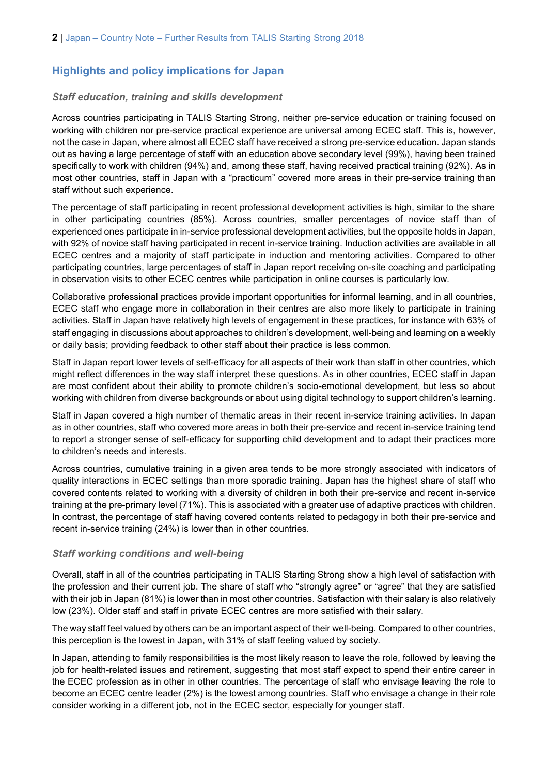## **Highlights and policy implications for Japan**

#### *Staff education, training and skills development*

Across countries participating in TALIS Starting Strong, neither pre-service education or training focused on working with children nor pre-service practical experience are universal among ECEC staff. This is, however, not the case in Japan, where almost all ECEC staff have received a strong pre-service education. Japan stands out as having a large percentage of staff with an education above secondary level (99%), having been trained specifically to work with children (94%) and, among these staff, having received practical training (92%). As in most other countries, staff in Japan with a "practicum" covered more areas in their pre-service training than staff without such experience.

The percentage of staff participating in recent professional development activities is high, similar to the share in other participating countries (85%). Across countries, smaller percentages of novice staff than of experienced ones participate in in-service professional development activities, but the opposite holds in Japan, with 92% of novice staff having participated in recent in-service training. Induction activities are available in all ECEC centres and a majority of staff participate in induction and mentoring activities. Compared to other participating countries, large percentages of staff in Japan report receiving on-site coaching and participating in observation visits to other ECEC centres while participation in online courses is particularly low.

Collaborative professional practices provide important opportunities for informal learning, and in all countries, ECEC staff who engage more in collaboration in their centres are also more likely to participate in training activities. Staff in Japan have relatively high levels of engagement in these practices, for instance with 63% of staff engaging in discussions about approaches to children's development, well-being and learning on a weekly or daily basis; providing feedback to other staff about their practice is less common.

Staff in Japan report lower levels of self-efficacy for all aspects of their work than staff in other countries, which might reflect differences in the way staff interpret these questions. As in other countries, ECEC staff in Japan are most confident about their ability to promote children's socio-emotional development, but less so about working with children from diverse backgrounds or about using digital technology to support children's learning.

Staff in Japan covered a high number of thematic areas in their recent in-service training activities. In Japan as in other countries, staff who covered more areas in both their pre-service and recent in-service training tend to report a stronger sense of self-efficacy for supporting child development and to adapt their practices more to children's needs and interests.

Across countries, cumulative training in a given area tends to be more strongly associated with indicators of quality interactions in ECEC settings than more sporadic training. Japan has the highest share of staff who covered contents related to working with a diversity of children in both their pre-service and recent in-service training at the pre-primary level (71%). This is associated with a greater use of adaptive practices with children. In contrast, the percentage of staff having covered contents related to pedagogy in both their pre-service and recent in-service training (24%) is lower than in other countries.

#### *Staff working conditions and well-being*

Overall, staff in all of the countries participating in TALIS Starting Strong show a high level of satisfaction with the profession and their current job. The share of staff who "strongly agree" or "agree" that they are satisfied with their job in Japan (81%) is lower than in most other countries. Satisfaction with their salary is also relatively low (23%). Older staff and staff in private ECEC centres are more satisfied with their salary.

The way staff feel valued by others can be an important aspect of their well-being. Compared to other countries, this perception is the lowest in Japan, with 31% of staff feeling valued by society.

In Japan, attending to family responsibilities is the most likely reason to leave the role, followed by leaving the job for health-related issues and retirement, suggesting that most staff expect to spend their entire career in the ECEC profession as in other in other countries. The percentage of staff who envisage leaving the role to become an ECEC centre leader (2%) is the lowest among countries. Staff who envisage a change in their role consider working in a different job, not in the ECEC sector, especially for younger staff.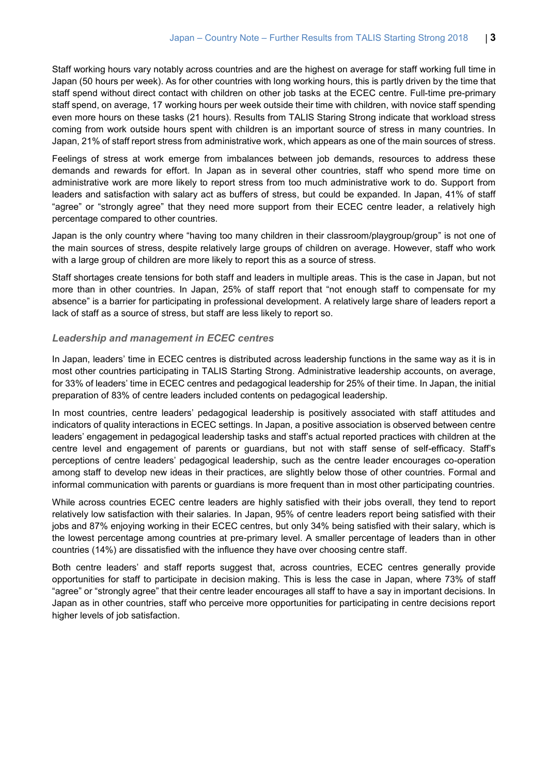Staff working hours vary notably across countries and are the highest on average for staff working full time in Japan (50 hours per week). As for other countries with long working hours, this is partly driven by the time that staff spend without direct contact with children on other job tasks at the ECEC centre. Full-time pre-primary staff spend, on average, 17 working hours per week outside their time with children, with novice staff spending even more hours on these tasks (21 hours). Results from TALIS Staring Strong indicate that workload stress coming from work outside hours spent with children is an important source of stress in many countries. In Japan, 21% of staff report stress from administrative work, which appears as one of the main sources of stress.

Feelings of stress at work emerge from imbalances between job demands, resources to address these demands and rewards for effort. In Japan as in several other countries, staff who spend more time on administrative work are more likely to report stress from too much administrative work to do. Support from leaders and satisfaction with salary act as buffers of stress, but could be expanded. In Japan, 41% of staff "agree" or "strongly agree" that they need more support from their ECEC centre leader, a relatively high percentage compared to other countries.

Japan is the only country where "having too many children in their classroom/playgroup/group" is not one of the main sources of stress, despite relatively large groups of children on average. However, staff who work with a large group of children are more likely to report this as a source of stress.

Staff shortages create tensions for both staff and leaders in multiple areas. This is the case in Japan, but not more than in other countries. In Japan, 25% of staff report that "not enough staff to compensate for my absence" is a barrier for participating in professional development. A relatively large share of leaders report a lack of staff as a source of stress, but staff are less likely to report so.

#### *Leadership and management in ECEC centres*

In Japan, leaders' time in ECEC centres is distributed across leadership functions in the same way as it is in most other countries participating in TALIS Starting Strong. Administrative leadership accounts, on average, for 33% of leaders' time in ECEC centres and pedagogical leadership for 25% of their time. In Japan, the initial preparation of 83% of centre leaders included contents on pedagogical leadership.

In most countries, centre leaders' pedagogical leadership is positively associated with staff attitudes and indicators of quality interactions in ECEC settings. In Japan, a positive association is observed between centre leaders' engagement in pedagogical leadership tasks and staff's actual reported practices with children at the centre level and engagement of parents or guardians, but not with staff sense of self-efficacy. Staff's perceptions of centre leaders' pedagogical leadership, such as the centre leader encourages co-operation among staff to develop new ideas in their practices, are slightly below those of other countries. Formal and informal communication with parents or guardians is more frequent than in most other participating countries.

While across countries ECEC centre leaders are highly satisfied with their jobs overall, they tend to report relatively low satisfaction with their salaries. In Japan, 95% of centre leaders report being satisfied with their jobs and 87% enjoying working in their ECEC centres, but only 34% being satisfied with their salary, which is the lowest percentage among countries at pre-primary level. A smaller percentage of leaders than in other countries (14%) are dissatisfied with the influence they have over choosing centre staff.

Both centre leaders' and staff reports suggest that, across countries, ECEC centres generally provide opportunities for staff to participate in decision making. This is less the case in Japan, where 73% of staff "agree" or "strongly agree" that their centre leader encourages all staff to have a say in important decisions. In Japan as in other countries, staff who perceive more opportunities for participating in centre decisions report higher levels of job satisfaction.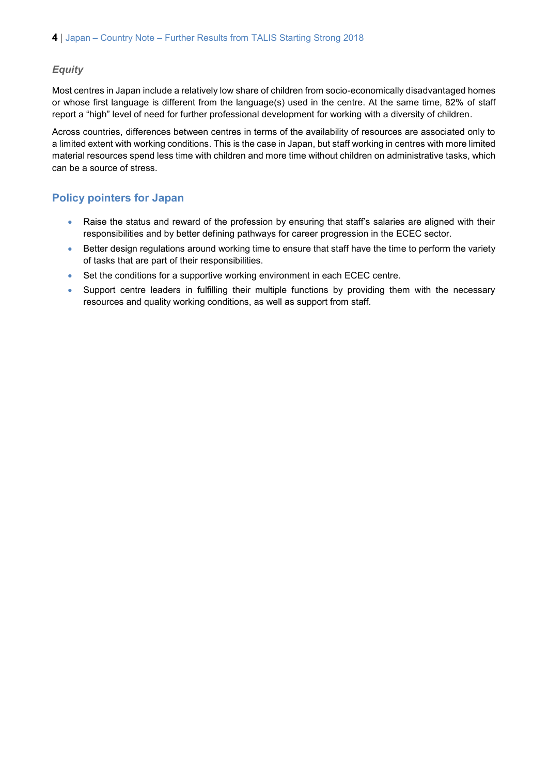#### *Equity*

Most centres in Japan include a relatively low share of children from socio-economically disadvantaged homes or whose first language is different from the language(s) used in the centre. At the same time, 82% of staff report a "high" level of need for further professional development for working with a diversity of children.

Across countries, differences between centres in terms of the availability of resources are associated only to a limited extent with working conditions. This is the case in Japan, but staff working in centres with more limited material resources spend less time with children and more time without children on administrative tasks, which can be a source of stress.

### **Policy pointers for Japan**

- Raise the status and reward of the profession by ensuring that staff's salaries are aligned with their responsibilities and by better defining pathways for career progression in the ECEC sector.
- Better design regulations around working time to ensure that staff have the time to perform the variety of tasks that are part of their responsibilities.
- Set the conditions for a supportive working environment in each ECEC centre.
- Support centre leaders in fulfilling their multiple functions by providing them with the necessary resources and quality working conditions, as well as support from staff.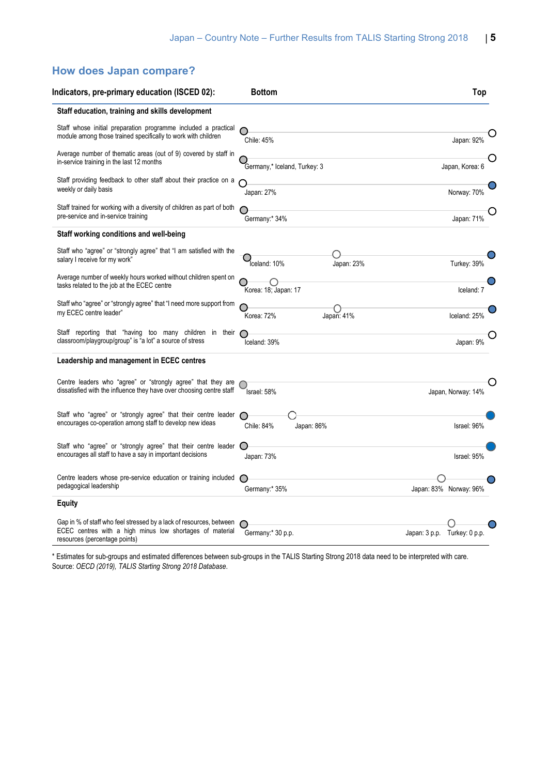## **How does Japan compare?**

| Indicators, pre-primary education (ISCED 02):                                                                                                                    | <b>Bottom</b>                | Top                          |
|------------------------------------------------------------------------------------------------------------------------------------------------------------------|------------------------------|------------------------------|
| Staff education, training and skills development                                                                                                                 |                              |                              |
| Staff whose initial preparation programme included a practical<br>module among those trained specifically to work with children                                  | Chile: 45%                   | Japan: 92%                   |
| Average number of thematic areas (out of 9) covered by staff in<br>in-service training in the last 12 months                                                     | Germany,* Iceland, Turkey: 3 | Japan, Korea: 6              |
| Staff providing feedback to other staff about their practice on a<br>weekly or daily basis                                                                       | Japan: 27%                   | Norway: 70%                  |
| Staff trained for working with a diversity of children as part of both<br>pre-service and in-service training                                                    | Germany:* 34%                | Japan: 71%                   |
| Staff working conditions and well-being                                                                                                                          |                              |                              |
| Staff who "agree" or "strongly agree" that "I am satisfied with the<br>salary I receive for my work"                                                             | Iceland: 10%<br>Japan: 23%   | Turkey: 39%                  |
| Average number of weekly hours worked without children spent on<br>tasks related to the job at the ECEC centre                                                   | Korea: 18; Japan: 17         | Iceland: 7                   |
| Staff who "agree" or "strongly agree" that "I need more support from<br>my ECEC centre leader"                                                                   | Korea: 72%<br>Japan: 41%     | Iceland: 25%                 |
| Staff reporting that "having too many children in their<br>classroom/playgroup/group" is "a lot" a source of stress                                              | Iceland: 39%                 | Japan: 9%                    |
| Leadership and management in ECEC centres                                                                                                                        |                              |                              |
| Centre leaders who "agree" or "strongly agree" that they are<br>dissatisfied with the influence they have over choosing centre staff                             | Israel: 58%                  | O<br>Japan, Norway: 14%      |
| Staff who "agree" or "strongly agree" that their centre leader<br>encourages co-operation among staff to develop new ideas                                       | Japan: 86%<br>Chile: 84%     | Israel: 96%                  |
| Staff who "agree" or "strongly agree" that their centre leader<br>encourages all staff to have a say in important decisions                                      | Japan: 73%                   | Israel: 95%                  |
| Centre leaders whose pre-service education or training included<br>pedagogical leadership                                                                        | Germany:* 35%                | Japan: 83% Norway: 96%       |
| Equity                                                                                                                                                           |                              |                              |
| Gap in % of staff who feel stressed by a lack of resources, between<br>ECEC centres with a high minus low shortages of material<br>resources (percentage points) | Germany:* 30 p.p.            | Japan: 3 p.p. Turkey: 0 p.p. |

\* Estimates for sub-groups and estimated differences between sub-groups in the TALIS Starting Strong 2018 data need to be interpreted with care. Source: *OECD (2019), TALIS Starting Strong 2018 Database*.